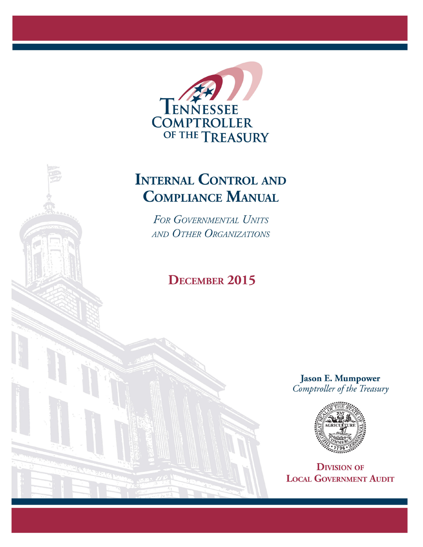

# **INTERNAL CONTROL AND COMPLIANCE MANUAL**

FOR GOVERNMENTAL UNITS AND OTHER ORGANIZATIONS

# **DECEMBER 2015**

**Jason E. Mumpower** Comptroller of the Treasury



**DIVISION OF LOCAL GOVERNMENT AUDIT**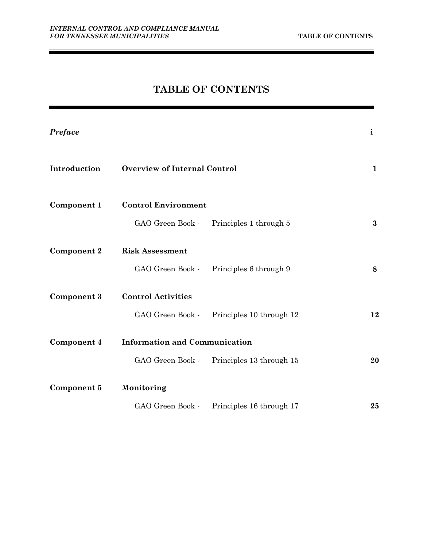$\blacksquare$ 

# **TABLE OF CONTENTS**

| Preface            |                                      |                                           | $\mathbf{i}$ |
|--------------------|--------------------------------------|-------------------------------------------|--------------|
| Introduction       | <b>Overview of Internal Control</b>  |                                           | $\mathbf 1$  |
| Component 1        | <b>Control Environment</b>           |                                           |              |
|                    | GAO Green Book -                     | Principles 1 through 5                    | $\bf{3}$     |
| <b>Component 2</b> | <b>Risk Assessment</b>               |                                           |              |
|                    |                                      | GAO Green Book - Principles 6 through 9   | 8            |
| Component 3        | <b>Control Activities</b>            |                                           |              |
|                    | GAO Green Book -                     | Principles 10 through 12                  | 12           |
| Component 4        | <b>Information and Communication</b> |                                           |              |
|                    |                                      | GAO Green Book - Principles 13 through 15 | 20           |
| Component 5        | Monitoring                           |                                           |              |
|                    |                                      | GAO Green Book - Principles 16 through 17 | 25           |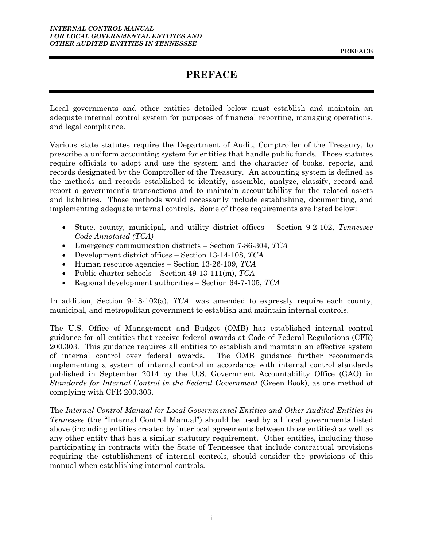# **PREFACE**

<span id="page-2-0"></span>Local governments and other entities detailed below must establish and maintain an adequate internal control system for purposes of financial reporting, managing operations, and legal compliance.

Various state statutes require the Department of Audit, Comptroller of the Treasury, to prescribe a uniform accounting system for entities that handle public funds. Those statutes require officials to adopt and use the system and the character of books, reports, and records designated by the Comptroller of the Treasury. An accounting system is defined as the methods and records established to identify, assemble, analyze, classify, record and report a government's transactions and to maintain accountability for the related assets and liabilities. Those methods would necessarily include establishing, documenting, and implementing adequate internal controls. Some of those requirements are listed below:

- State, county, municipal, and utility district offices Section 9-2-102, *Tennessee Code Annotated (TCA)*
- Emergency communication districts Section 7-86-304, *TCA*
- Development district offices Section 13-14-108, *TCA*
- Human resource agencies Section 13-26-109, *TCA*
- Public charter schools Section 49-13-111(m), *TCA*
- Regional development authorities Section 64-7-105, *TCA*

In addition, Section 9-18-102(a), *TCA,* was amended to expressly require each county, municipal, and metropolitan government to establish and maintain internal controls.

The U.S. Office of Management and Budget (OMB) has established internal control guidance for all entities that receive federal awards at Code of Federal Regulations (CFR) 200.303. This guidance requires all entities to establish and maintain an effective system of internal control over federal awards. The OMB guidance further recommends implementing a system of internal control in accordance with internal control standards published in September 2014 by the U.S. Government Accountability Office (GAO) in *Standards for Internal Control in the Federal Government* (Green Book), as one method of complying with CFR 200.303.

The *Internal Control Manual for Local Governmental Entities and Other Audited Entities in Tennessee* (the "Internal Control Manual") should be used by all local governments listed above (including entities created by interlocal agreements between those entities) as well as any other entity that has a similar statutory requirement. Other entities, including those participating in contracts with the State of Tennessee that include contractual provisions requiring the establishment of internal controls, should consider the provisions of this manual when establishing internal controls.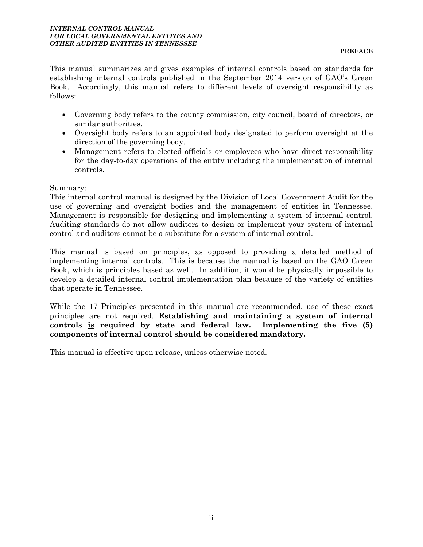This manual summarizes and gives examples of internal controls based on standards for establishing internal controls published in the September 2014 version of GAO's Green Book. Accordingly, this manual refers to different levels of oversight responsibility as follows:

- Governing body refers to the county commission, city council, board of directors, or similar authorities.
- Oversight body refers to an appointed body designated to perform oversight at the direction of the governing body.
- Management refers to elected officials or employees who have direct responsibility for the day-to-day operations of the entity including the implementation of internal controls.

### Summary:

This internal control manual is designed by the Division of Local Government Audit for the use of governing and oversight bodies and the management of entities in Tennessee. Management is responsible for designing and implementing a system of internal control. Auditing standards do not allow auditors to design or implement your system of internal control and auditors cannot be a substitute for a system of internal control.

This manual is based on principles, as opposed to providing a detailed method of implementing internal controls. This is because the manual is based on the GAO Green Book, which is principles based as well. In addition, it would be physically impossible to develop a detailed internal control implementation plan because of the variety of entities that operate in Tennessee.

While the 17 Principles presented in this manual are recommended, use of these exact principles are not required. **Establishing and maintaining a system of internal controls is required by state and federal law. Implementing the five (5) components of internal control should be considered mandatory.**

This manual is effective upon release, unless otherwise noted.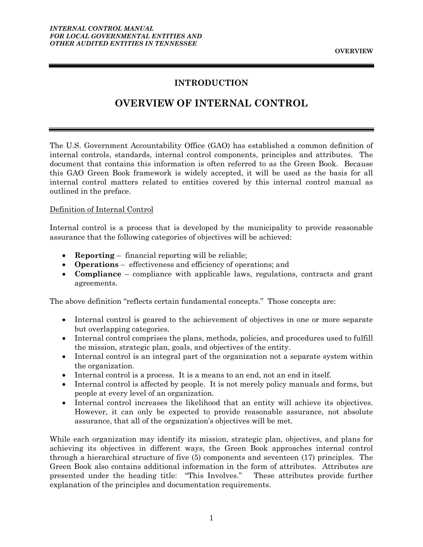### **INTRODUCTION**

# **OVERVIEW OF INTERNAL CONTROL**

<span id="page-4-0"></span>The U.S. Government Accountability Office (GAO) has established a common definition of internal controls, standards, internal control components, principles and attributes. The document that contains this information is often referred to as the Green Book. Because this GAO Green Book framework is widely accepted, it will be used as the basis for all internal control matters related to entities covered by this internal control manual as outlined in the preface.

#### Definition of Internal Control

Internal control is a process that is developed by the municipality to provide reasonable assurance that the following categories of objectives will be achieved:

- **Reporting** financial reporting will be reliable;
- **Operations** effectiveness and efficiency of operations; and
- **Compliance** compliance with applicable laws, regulations, contracts and grant agreements.

The above definition "reflects certain fundamental concepts." Those concepts are:

- Internal control is geared to the achievement of objectives in one or more separate but overlapping categories.
- Internal control comprises the plans, methods, policies, and procedures used to fulfill the mission, strategic plan, goals, and objectives of the entity.
- Internal control is an integral part of the organization not a separate system within the organization.
- Internal control is a process. It is a means to an end, not an end in itself.
- Internal control is affected by people. It is not merely policy manuals and forms, but people at every level of an organization.
- Internal control increases the likelihood that an entity will achieve its objectives. However, it can only be expected to provide reasonable assurance, not absolute assurance, that all of the organization's objectives will be met.

While each organization may identify its mission, strategic plan, objectives, and plans for achieving its objectives in different ways, the Green Book approaches internal control through a hierarchical structure of five (5) components and seventeen (17) principles. The Green Book also contains additional information in the form of attributes. Attributes are presented under the heading title: "This Involves." These attributes provide further explanation of the principles and documentation requirements.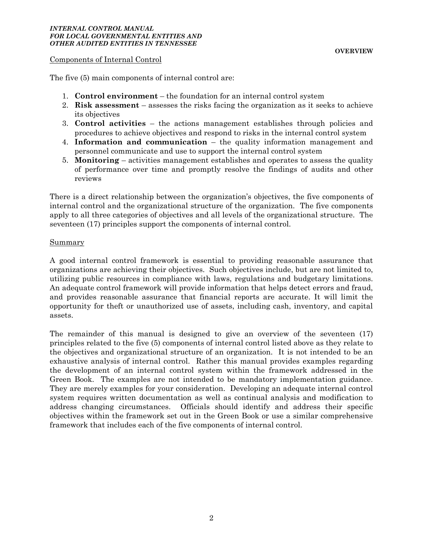#### *INTERNAL CONTROL MANUAL FOR LOCAL GOVERNMENTAL ENTITIES AND OTHER AUDITED ENTITIES IN TENNESSEE*

#### Components of Internal Control

The five (5) main components of internal control are:

- 1. **Control environment** the foundation for an internal control system
- 2. **Risk assessment** assesses the risks facing the organization as it seeks to achieve its objectives
- 3. **Control activities** the actions management establishes through policies and procedures to achieve objectives and respond to risks in the internal control system
- 4. **Information and communication** the quality information management and personnel communicate and use to support the internal control system
- 5. **Monitoring** activities management establishes and operates to assess the quality of performance over time and promptly resolve the findings of audits and other reviews

There is a direct relationship between the organization's objectives, the five components of internal control and the organizational structure of the organization. The five components apply to all three categories of objectives and all levels of the organizational structure. The seventeen (17) principles support the components of internal control.

#### Summary

A good internal control framework is essential to providing reasonable assurance that organizations are achieving their objectives. Such objectives include, but are not limited to, utilizing public resources in compliance with laws, regulations and budgetary limitations. An adequate control framework will provide information that helps detect errors and fraud, and provides reasonable assurance that financial reports are accurate. It will limit the opportunity for theft or unauthorized use of assets, including cash, inventory, and capital assets.

The remainder of this manual is designed to give an overview of the seventeen (17) principles related to the five (5) components of internal control listed above as they relate to the objectives and organizational structure of an organization. It is not intended to be an exhaustive analysis of internal control. Rather this manual provides examples regarding the development of an internal control system within the framework addressed in the Green Book. The examples are not intended to be mandatory implementation guidance. They are merely examples for your consideration. Developing an adequate internal control system requires written documentation as well as continual analysis and modification to address changing circumstances. Officials should identify and address their specific objectives within the framework set out in the Green Book or use a similar comprehensive framework that includes each of the five components of internal control.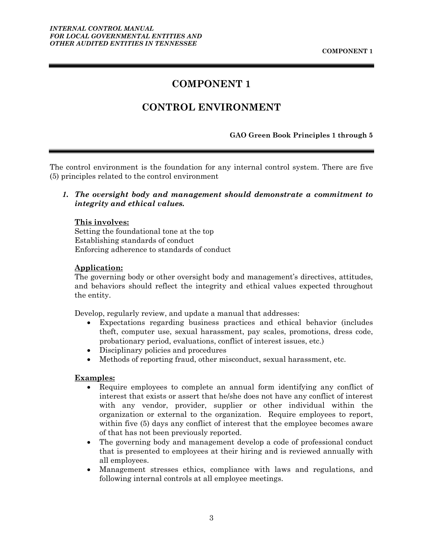# **COMPONENT 1**

# **CONTROL ENVIRONMENT**

#### **GAO Green Book Principles 1 through 5**

<span id="page-6-0"></span>The control environment is the foundation for any internal control system. There are five (5) principles related to the control environment

#### *1. The oversight body and management should demonstrate a commitment to integrity and ethical values.*

#### **This involves:**

Setting the foundational tone at the top Establishing standards of conduct Enforcing adherence to standards of conduct

#### **Application:**

The governing body or other oversight body and management's directives, attitudes, and behaviors should reflect the integrity and ethical values expected throughout the entity.

Develop, regularly review, and update a manual that addresses:

- Expectations regarding business practices and ethical behavior (includes theft, computer use, sexual harassment, pay scales, promotions, dress code, probationary period, evaluations, conflict of interest issues, etc.)
- Disciplinary policies and procedures
- Methods of reporting fraud, other misconduct, sexual harassment, etc.

#### **Examples:**

- Require employees to complete an annual form identifying any conflict of interest that exists or assert that he/she does not have any conflict of interest with any vendor, provider, supplier or other individual within the organization or external to the organization. Require employees to report, within five (5) days any conflict of interest that the employee becomes aware of that has not been previously reported.
- The governing body and management develop a code of professional conduct that is presented to employees at their hiring and is reviewed annually with all employees.
- Management stresses ethics, compliance with laws and regulations, and following internal controls at all employee meetings.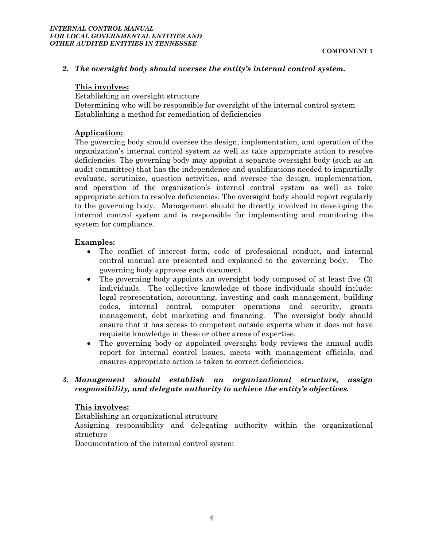#### *2. The oversight body should oversee the entity's internal control system.*

#### **This involves:**

Establishing an oversight structure Determining who will be responsible for oversight of the internal control system Establishing a method for remediation of deficiencies

#### **Application:**

The governing body should oversee the design, implementation, and operation of the organization's internal control system as well as take appropriate action to resolve deficiencies. The governing body may appoint a separate oversight body (such as an audit committee) that has the independence and qualifications needed to impartially evaluate, scrutinize, question activities, and oversee the design, implementation, and operation of the organization's internal control system as well as take appropriate action to resolve deficiencies. The oversight body should report regularly to the governing body. Management should be directly involved in developing the internal control system and is responsible for implementing and monitoring the system for compliance.

#### **Examples:**

- The conflict of interest form, code of professional conduct, and internal control manual are presented and explained to the governing body. The governing body approves each document.
- The governing body appoints an oversight body composed of at least five (3) individuals. The collective knowledge of those individuals should include: legal representation, accounting, investing and cash management, building codes, internal control, computer operations and security, grants management, debt marketing and financing. The oversight body should ensure that it has access to competent outside experts when it does not have requisite knowledge in these or other areas of expertise.
- The governing body or appointed oversight body reviews the annual audit report for internal control issues, meets with management officials, and ensures appropriate action is taken to correct deficiencies.

#### *3. Management should establish an organizational structure, assign responsibility, and delegate authority to achieve the entity's objectives.*

#### **This involves:**

Establishing an organizational structure

Assigning responsibility and delegating authority within the organizational structure

Documentation of the internal control system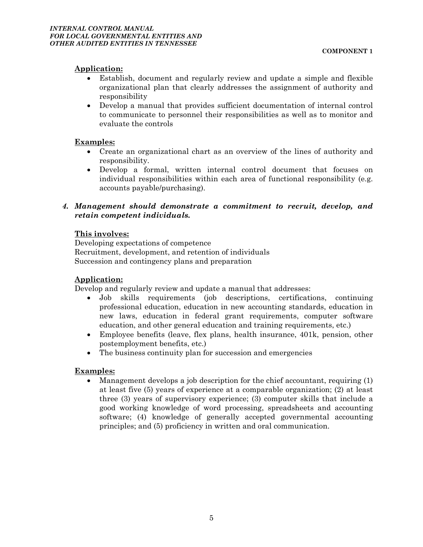#### **Application:**

- Establish, document and regularly review and update a simple and flexible organizational plan that clearly addresses the assignment of authority and responsibility
- Develop a manual that provides sufficient documentation of internal control to communicate to personnel their responsibilities as well as to monitor and evaluate the controls

#### **Examples:**

- Create an organizational chart as an overview of the lines of authority and responsibility.
- Develop a formal, written internal control document that focuses on individual responsibilities within each area of functional responsibility (e.g. accounts payable/purchasing).

#### *4. Management should demonstrate a commitment to recruit, develop, and retain competent individuals.*

#### **This involves:**

Developing expectations of competence Recruitment, development, and retention of individuals Succession and contingency plans and preparation

#### **Application:**

Develop and regularly review and update a manual that addresses:

- Job skills requirements (job descriptions, certifications, continuing professional education, education in new accounting standards, education in new laws, education in federal grant requirements, computer software education, and other general education and training requirements, etc.)
- Employee benefits (leave, flex plans, health insurance, 401k, pension, other postemployment benefits, etc.)
- The business continuity plan for succession and emergencies

#### **Examples:**

 Management develops a job description for the chief accountant, requiring (1) at least five (5) years of experience at a comparable organization; (2) at least three (3) years of supervisory experience; (3) computer skills that include a good working knowledge of word processing, spreadsheets and accounting software; (4) knowledge of generally accepted governmental accounting principles; and (5) proficiency in written and oral communication.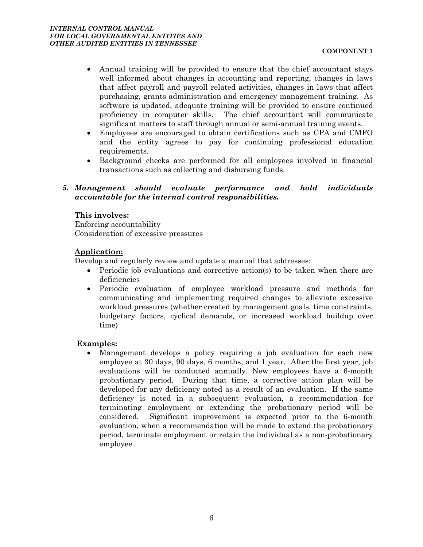- Annual training will be provided to ensure that the chief accountant stays well informed about changes in accounting and reporting, changes in laws that affect payroll and payroll related activities, changes in laws that affect purchasing, grants administration and emergency management training. As software is updated, adequate training will be provided to ensure continued proficiency in computer skills. The chief accountant will communicate significant matters to staff through annual or semi-annual training events.
- Employees are encouraged to obtain certifications such as CPA and CMFO and the entity agrees to pay for continuing professional education requirements.
- Background checks are performed for all employees involved in financial transactions such as collecting and disbursing funds.

#### *5. Management should evaluate performance and hold individuals accountable for the internal control responsibilities.*

#### **This involves:**

Enforcing accountability Consideration of excessive pressures

#### **Application:**

Develop and regularly review and update a manual that addresses:

- Periodic job evaluations and corrective action(s) to be taken when there are deficiencies
- Periodic evaluation of employee workload pressure and methods for communicating and implementing required changes to alleviate excessive workload pressures (whether created by management goals, time constraints, budgetary factors, cyclical demands, or increased workload buildup over time)

#### **Examples:**

 Management develops a policy requiring a job evaluation for each new employee at 30 days, 90 days, 6 months, and 1 year. After the first year, job evaluations will be conducted annually. New employees have a 6-month probationary period. During that time, a corrective action plan will be developed for any deficiency noted as a result of an evaluation. If the same deficiency is noted in a subsequent evaluation, a recommendation for terminating employment or extending the probationary period will be considered. Significant improvement is expected prior to the 6-month evaluation, when a recommendation will be made to extend the probationary period, terminate employment or retain the individual as a non-probationary employee.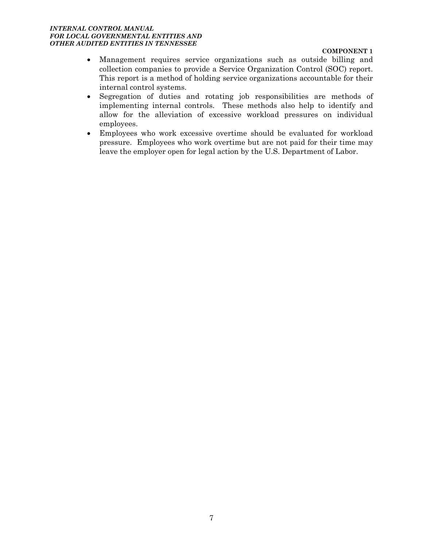#### *INTERNAL CONTROL MANUAL FOR LOCAL GOVERNMENTAL ENTITIES AND OTHER AUDITED ENTITIES IN TENNESSEE*

#### **COMPONENT 1**

- Management requires service organizations such as outside billing and collection companies to provide a Service Organization Control (SOC) report. This report is a method of holding service organizations accountable for their internal control systems.
- Segregation of duties and rotating job responsibilities are methods of implementing internal controls. These methods also help to identify and allow for the alleviation of excessive workload pressures on individual employees.
- Employees who work excessive overtime should be evaluated for workload pressure. Employees who work overtime but are not paid for their time may leave the employer open for legal action by the U.S. Department of Labor.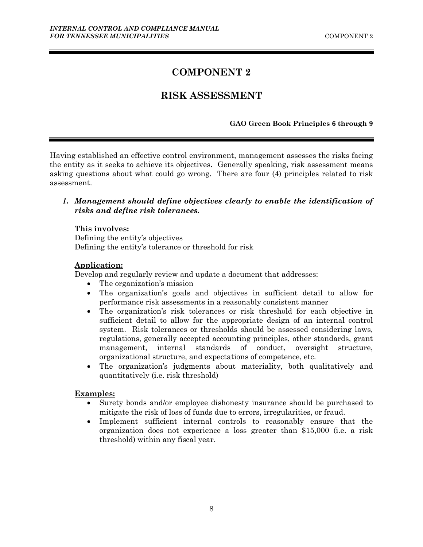# **COMPONENT 2**

### **RISK ASSESSMENT**

#### **GAO Green Book Principles 6 through 9**

<span id="page-11-0"></span>Having established an effective control environment, management assesses the risks facing the entity as it seeks to achieve its objectives. Generally speaking, risk assessment means asking questions about what could go wrong. There are four (4) principles related to risk assessment.

### *1. Management should define objectives clearly to enable the identification of risks and define risk tolerances.*

#### **This involves:**

Defining the entity's objectives Defining the entity's tolerance or threshold for risk

#### **Application:**

Develop and regularly review and update a document that addresses:

- The organization's mission
- The organization's goals and objectives in sufficient detail to allow for performance risk assessments in a reasonably consistent manner
- The organization's risk tolerances or risk threshold for each objective in sufficient detail to allow for the appropriate design of an internal control system. Risk tolerances or thresholds should be assessed considering laws, regulations, generally accepted accounting principles, other standards, grant management, internal standards of conduct, oversight structure, organizational structure, and expectations of competence, etc.
- The organization's judgments about materiality, both qualitatively and quantitatively (i.e. risk threshold)

#### **Examples:**

- Surety bonds and/or employee dishonesty insurance should be purchased to mitigate the risk of loss of funds due to errors, irregularities, or fraud.
- Implement sufficient internal controls to reasonably ensure that the organization does not experience a loss greater than \$15,000 (i.e. a risk threshold) within any fiscal year.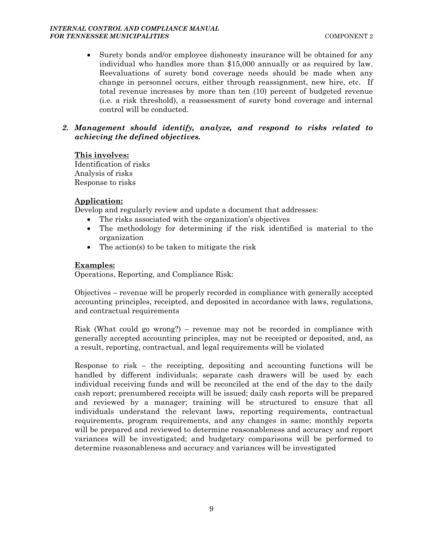Surety bonds and/or employee dishonesty insurance will be obtained for any individual who handles more than \$15,000 annually or as required by law. Reevaluations of surety bond coverage needs should be made when any change in personnel occurs, either through reassignment, new hire, etc. If total revenue increases by more than ten (10) percent of budgeted revenue (i.e. a risk threshold), a reassessment of surety bond coverage and internal control will be conducted.

#### *2. Management should identify, analyze, and respond to risks related to achieving the defined objectives.*

#### **This involves:**

Identification of risks Analysis of risks Response to risks

### **Application:**

Develop and regularly review and update a document that addresses:

- The risks associated with the organization's objectives
- The methodology for determining if the risk identified is material to the organization
- The action(s) to be taken to mitigate the risk

### **Examples:**

Operations, Reporting, and Compliance Risk:

Objectives – revenue will be properly recorded in compliance with generally accepted accounting principles, receipted, and deposited in accordance with laws, regulations, and contractual requirements

Risk (What could go wrong?) – revenue may not be recorded in compliance with generally accepted accounting principles, may not be receipted or deposited, and, as a result, reporting, contractual, and legal requirements will be violated

Response to risk – the receipting, depositing and accounting functions will be handled by different individuals; separate cash drawers will be used by each individual receiving funds and will be reconciled at the end of the day to the daily cash report; prenumbered receipts will be issued; daily cash reports will be prepared and reviewed by a manager; training will be structured to ensure that all individuals understand the relevant laws, reporting requirements, contractual requirements, program requirements, and any changes in same; monthly reports will be prepared and reviewed to determine reasonableness and accuracy and report variances will be investigated; and budgetary comparisons will be performed to determine reasonableness and accuracy and variances will be investigated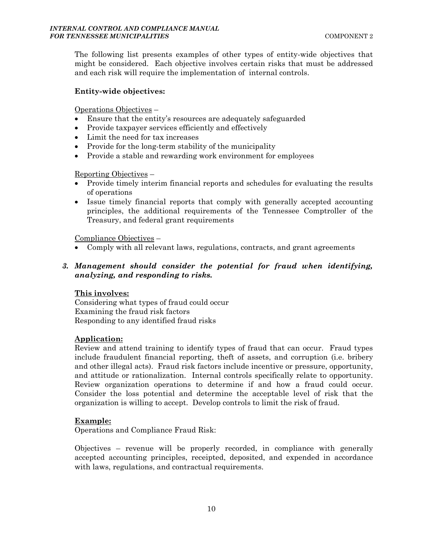The following list presents examples of other types of entity-wide objectives that might be considered. Each objective involves certain risks that must be addressed and each risk will require the implementation of internal controls.

#### **Entity-wide objectives:**

Operations Objectives –

- Ensure that the entity's resources are adequately safeguarded
- Provide taxpayer services efficiently and effectively
- Limit the need for tax increases
- Provide for the long-term stability of the municipality
- Provide a stable and rewarding work environment for employees

#### Reporting Objectives –

- Provide timely interim financial reports and schedules for evaluating the results of operations
- Issue timely financial reports that comply with generally accepted accounting principles, the additional requirements of the Tennessee Comptroller of the Treasury, and federal grant requirements

Compliance Objectives –

Comply with all relevant laws, regulations, contracts, and grant agreements

### *3. Management should consider the potential for fraud when identifying, analyzing, and responding to risks.*

#### **This involves:**

Considering what types of fraud could occur Examining the fraud risk factors Responding to any identified fraud risks

#### **Application:**

Review and attend training to identify types of fraud that can occur. Fraud types include fraudulent financial reporting, theft of assets, and corruption (i.e. bribery and other illegal acts). Fraud risk factors include incentive or pressure, opportunity, and attitude or rationalization. Internal controls specifically relate to opportunity. Review organization operations to determine if and how a fraud could occur. Consider the loss potential and determine the acceptable level of risk that the organization is willing to accept. Develop controls to limit the risk of fraud.

#### **Example:**

Operations and Compliance Fraud Risk:

Objectives – revenue will be properly recorded, in compliance with generally accepted accounting principles, receipted, deposited, and expended in accordance with laws, regulations, and contractual requirements.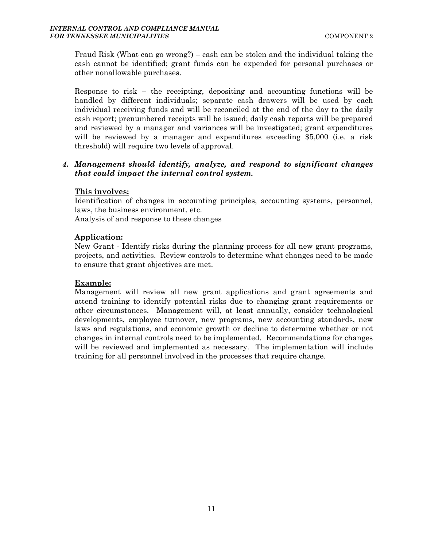Fraud Risk (What can go wrong?) – cash can be stolen and the individual taking the cash cannot be identified; grant funds can be expended for personal purchases or other nonallowable purchases.

Response to risk – the receipting, depositing and accounting functions will be handled by different individuals; separate cash drawers will be used by each individual receiving funds and will be reconciled at the end of the day to the daily cash report; prenumbered receipts will be issued; daily cash reports will be prepared and reviewed by a manager and variances will be investigated; grant expenditures will be reviewed by a manager and expenditures exceeding \$5,000 (i.e. a risk threshold) will require two levels of approval.

### *4. Management should identify, analyze, and respond to significant changes that could impact the internal control system.*

#### **This involves:**

Identification of changes in accounting principles, accounting systems, personnel, laws, the business environment, etc.

Analysis of and response to these changes

#### **Application:**

New Grant - Identify risks during the planning process for all new grant programs, projects, and activities. Review controls to determine what changes need to be made to ensure that grant objectives are met.

#### **Example:**

Management will review all new grant applications and grant agreements and attend training to identify potential risks due to changing grant requirements or other circumstances. Management will, at least annually, consider technological developments, employee turnover, new programs, new accounting standards, new laws and regulations, and economic growth or decline to determine whether or not changes in internal controls need to be implemented. Recommendations for changes will be reviewed and implemented as necessary. The implementation will include training for all personnel involved in the processes that require change.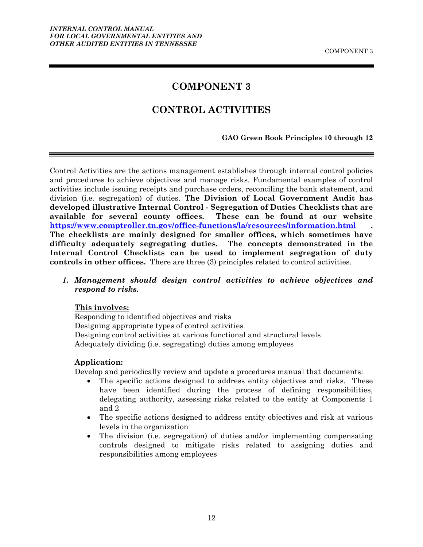### **COMPONENT 3**

### **CONTROL ACTIVITIES**

#### **GAO Green Book Principles 10 through 12**

Control Activities are the actions management establishes through internal control policies and procedures to achieve objectives and manage risks. Fundamental examples of control activities include issuing receipts and purchase orders, reconciling the bank statement, and division (i.e. segregation) of duties. **The Division of Local Government Audit has developed illustrative Internal Control - Segregation of Duties Checklists that are available for several county offices. These can be found at our website https://www.comptroller.tn.gov/office-functions/la/resources/information.html . The checklists are mainly designed for smaller offices, which sometimes have difficulty adequately segregating duties. The concepts demonstrated in the Internal Control Checklists can be used to implement segregation of duty controls in other offices.** There are three (3) principles related to control activities.

*1. Management should design control activities to achieve objectives and respond to risks.* 

#### **This involves:**

Responding to identified objectives and risks Designing appropriate types of control activities Designing control activities at various functional and structural levels Adequately dividing (i.e. segregating) duties among employees

#### **Application:**

Develop and periodically review and update a procedures manual that documents:

- The specific actions designed to address entity objectives and risks. These have been identified during the process of defining responsibilities, delegating authority, assessing risks related to the entity at Components 1 and 2
- The specific actions designed to address entity objectives and risk at various levels in the organization
- The division (i.e. segregation) of duties and/or implementing compensating controls designed to mitigate risks related to assigning duties and responsibilities among employees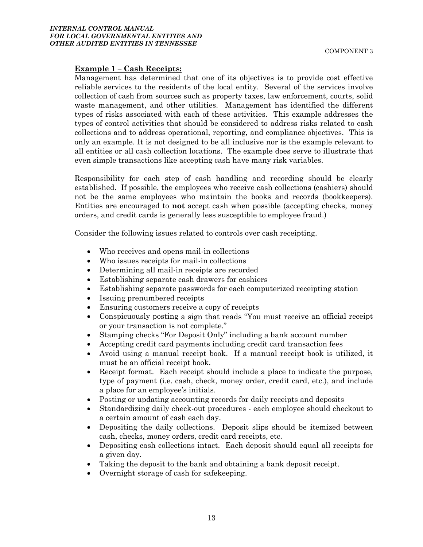#### **Example 1 – Cash Receipts:**

Management has determined that one of its objectives is to provide cost effective reliable services to the residents of the local entity. Several of the services involve collection of cash from sources such as property taxes, law enforcement, courts, solid waste management, and other utilities. Management has identified the different types of risks associated with each of these activities. This example addresses the types of control activities that should be considered to address risks related to cash collections and to address operational, reporting, and compliance objectives. This is only an example. It is not designed to be all inclusive nor is the example relevant to all entities or all cash collection locations. The example does serve to illustrate that even simple transactions like accepting cash have many risk variables.

Responsibility for each step of cash handling and recording should be clearly established. If possible, the employees who receive cash collections (cashiers) should not be the same employees who maintain the books and records (bookkeepers). Entities are encouraged to **not** accept cash when possible (accepting checks, money orders, and credit cards is generally less susceptible to employee fraud.)

Consider the following issues related to controls over cash receipting.

- Who receives and opens mail-in collections
- Who issues receipts for mail-in collections
- Determining all mail-in receipts are recorded
- Establishing separate cash drawers for cashiers
- Establishing separate passwords for each computerized receipting station
- Issuing prenumbered receipts
- Ensuring customers receive a copy of receipts
- Conspicuously posting a sign that reads "You must receive an official receipt or your transaction is not complete."
- Stamping checks "For Deposit Only" including a bank account number
- Accepting credit card payments including credit card transaction fees
- Avoid using a manual receipt book. If a manual receipt book is utilized, it must be an official receipt book.
- Receipt format. Each receipt should include a place to indicate the purpose, type of payment (i.e. cash, check, money order, credit card, etc.), and include a place for an employee's initials.
- Posting or updating accounting records for daily receipts and deposits
- Standardizing daily check-out procedures each employee should checkout to a certain amount of cash each day.
- Depositing the daily collections. Deposit slips should be itemized between cash, checks, money orders, credit card receipts, etc.
- Depositing cash collections intact. Each deposit should equal all receipts for a given day.
- Taking the deposit to the bank and obtaining a bank deposit receipt.
- Overnight storage of cash for safekeeping.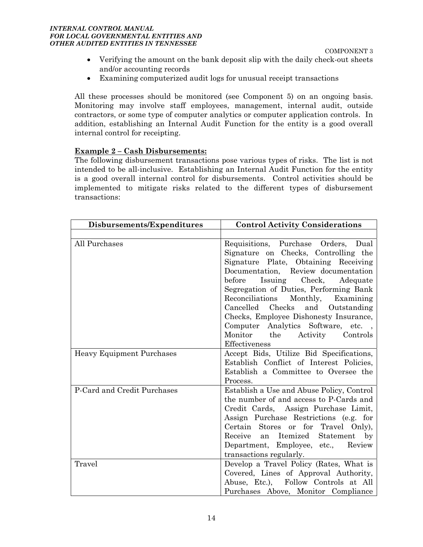#### *INTERNAL CONTROL MANUAL FOR LOCAL GOVERNMENTAL ENTITIES AND OTHER AUDITED ENTITIES IN TENNESSEE*

COMPONENT 3

- Verifying the amount on the bank deposit slip with the daily check-out sheets and/or accounting records
- Examining computerized audit logs for unusual receipt transactions

All these processes should be monitored (see Component 5) on an ongoing basis. Monitoring may involve staff employees, management, internal audit, outside contractors, or some type of computer analytics or computer application controls. In addition, establishing an Internal Audit Function for the entity is a good overall internal control for receipting.

#### **Example 2 – Cash Disbursements:**

The following disbursement transactions pose various types of risks. The list is not intended to be all-inclusive. Establishing an Internal Audit Function for the entity is a good overall internal control for disbursements. Control activities should be implemented to mitigate risks related to the different types of disbursement transactions:

| Disbursements/Expenditures       | <b>Control Activity Considerations</b>                                                                                                                                                                                                                                                                                                                                                                                                                               |  |
|----------------------------------|----------------------------------------------------------------------------------------------------------------------------------------------------------------------------------------------------------------------------------------------------------------------------------------------------------------------------------------------------------------------------------------------------------------------------------------------------------------------|--|
|                                  |                                                                                                                                                                                                                                                                                                                                                                                                                                                                      |  |
| All Purchases                    | Requisitions, Purchase Orders, Dual<br>Signature on Checks, Controlling the<br>Signature Plate, Obtaining Receiving<br>Documentation, Review documentation<br>Issuing Check,<br>before<br>Adequate<br>Segregation of Duties, Performing Bank<br>Reconciliations Monthly, Examining<br>Checks<br>Cancelled<br>and<br>Outstanding<br>Checks, Employee Dishonesty Insurance,<br>Computer Analytics Software, etc.,<br>Monitor the Activity<br>Controls<br>Effectiveness |  |
| <b>Heavy Equipment Purchases</b> | Accept Bids, Utilize Bid Specifications,<br>Establish Conflict of Interest Policies,<br>Establish a Committee to Oversee the<br>Process.                                                                                                                                                                                                                                                                                                                             |  |
| P-Card and Credit Purchases      | Establish a Use and Abuse Policy, Control<br>the number of and access to P-Cards and<br>Credit Cards, Assign Purchase Limit,<br>Assign Purchase Restrictions (e.g. for<br>Stores or for Travel Only),<br>Certain<br>Receive<br>an Itemized Statement by<br>Department, Employee, etc., Review<br>transactions regularly.                                                                                                                                             |  |
| Travel                           | Develop a Travel Policy (Rates, What is<br>Covered, Lines of Approval Authority,<br>Abuse, Etc.), Follow Controls at All<br>Purchases Above, Monitor Compliance                                                                                                                                                                                                                                                                                                      |  |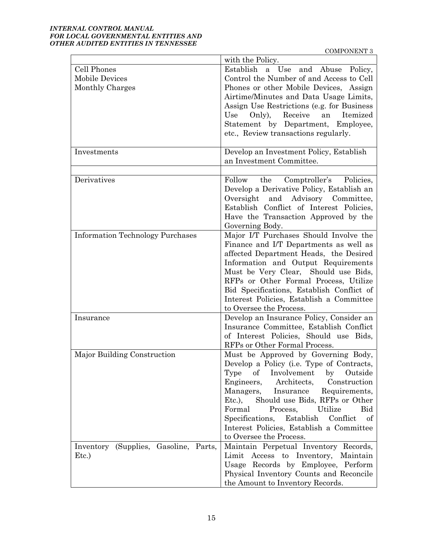#### *INTERNAL CONTROL MANUAL FOR LOCAL GOVERNMENTAL ENTITIES AND OTHER AUDITED ENTITIES IN TENNESSEE*

COMPONENT 3

|                                         | with the Policy.                                    |  |
|-----------------------------------------|-----------------------------------------------------|--|
| Cell Phones                             | Establish a Use and Abuse Policy,                   |  |
| <b>Mobile Devices</b>                   | Control the Number of and Access to Cell            |  |
| Monthly Charges                         | Phones or other Mobile Devices, Assign              |  |
|                                         | Airtime/Minutes and Data Usage Limits,              |  |
|                                         | Assign Use Restrictions (e.g. for Business          |  |
|                                         | Receive<br>Use<br>Only),<br>Itemized<br>an          |  |
|                                         | Statement by Department, Employee,                  |  |
|                                         | etc., Review transactions regularly.                |  |
|                                         |                                                     |  |
| Investments                             | Develop an Investment Policy, Establish             |  |
|                                         | an Investment Committee.                            |  |
|                                         |                                                     |  |
| Derivatives                             | the<br>Comptroller's Policies,<br>Follow            |  |
|                                         | Develop a Derivative Policy, Establish an           |  |
|                                         | Oversight and Advisory Committee,                   |  |
|                                         | Establish Conflict of Interest Policies,            |  |
|                                         | Have the Transaction Approved by the                |  |
|                                         | Governing Body.                                     |  |
| <b>Information Technology Purchases</b> | Major I/T Purchases Should Involve the              |  |
|                                         | Finance and I/T Departments as well as              |  |
|                                         | affected Department Heads, the Desired              |  |
|                                         | Information and Output Requirements                 |  |
|                                         | Must be Very Clear, Should use Bids,                |  |
|                                         | RFPs or Other Formal Process, Utilize               |  |
|                                         | Bid Specifications, Establish Conflict of           |  |
|                                         | Interest Policies, Establish a Committee            |  |
|                                         | to Oversee the Process.                             |  |
| Insurance                               | Develop an Insurance Policy, Consider an            |  |
|                                         | Insurance Committee, Establish Conflict             |  |
|                                         | of Interest Policies, Should use Bids,              |  |
|                                         | RFPs or Other Formal Process.                       |  |
| Major Building Construction             | Must be Approved by Governing Body,                 |  |
|                                         | Develop a Policy (i.e. Type of Contracts,           |  |
|                                         | of<br>Involvement<br>$_{\rm by}$<br>Outside<br>Type |  |
|                                         | Engineers,<br>Architects,<br>Construction           |  |
|                                         | Managers,<br>Requirements,<br>Insurance             |  |
|                                         | Should use Bids, RFPs or Other<br>$Etc.$ ),         |  |
|                                         | Formal<br>Utilize<br>Bid<br>Process,                |  |
|                                         | Specifications, Establish<br>Conflict<br>of         |  |
|                                         | Interest Policies, Establish a Committee            |  |
|                                         | to Oversee the Process.                             |  |
| Inventory (Supplies, Gasoline, Parts,   | Maintain Perpetual Inventory Records,               |  |
| Etc.)                                   | Limit Access to Inventory, Maintain                 |  |
|                                         | Usage Records by Employee, Perform                  |  |
|                                         | Physical Inventory Counts and Reconcile             |  |
|                                         | the Amount to Inventory Records.                    |  |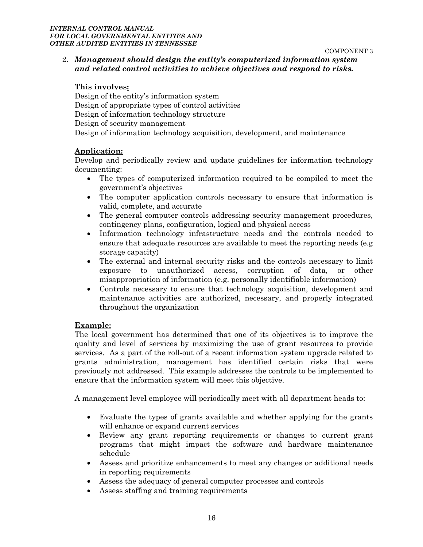COMPONENT 3

### 2. *Management should design the entity's computerized information system and related control activities to achieve objectives and respond to risks.*

#### **This involves:**

Design of the entity's information system Design of appropriate types of control activities Design of information technology structure Design of security management Design of information technology acquisition, development, and maintenance

#### **Application:**

Develop and periodically review and update guidelines for information technology documenting:

- The types of computerized information required to be compiled to meet the government's objectives
- The computer application controls necessary to ensure that information is valid, complete, and accurate
- The general computer controls addressing security management procedures, contingency plans, configuration, logical and physical access
- Information technology infrastructure needs and the controls needed to ensure that adequate resources are available to meet the reporting needs (e.g storage capacity)
- The external and internal security risks and the controls necessary to limit exposure to unauthorized access, corruption of data, or other misappropriation of information (e.g. personally identifiable information)
- Controls necessary to ensure that technology acquisition, development and maintenance activities are authorized, necessary, and properly integrated throughout the organization

#### **Example:**

The local government has determined that one of its objectives is to improve the quality and level of services by maximizing the use of grant resources to provide services. As a part of the roll-out of a recent information system upgrade related to grants administration, management has identified certain risks that were previously not addressed. This example addresses the controls to be implemented to ensure that the information system will meet this objective.

A management level employee will periodically meet with all department heads to:

- Evaluate the types of grants available and whether applying for the grants will enhance or expand current services
- Review any grant reporting requirements or changes to current grant programs that might impact the software and hardware maintenance schedule
- Assess and prioritize enhancements to meet any changes or additional needs in reporting requirements
- Assess the adequacy of general computer processes and controls
- Assess staffing and training requirements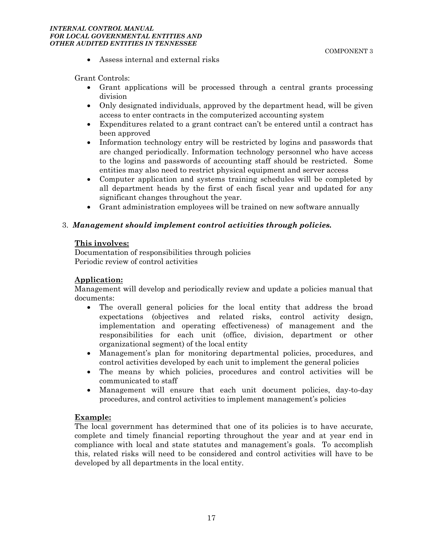#### *INTERNAL CONTROL MANUAL FOR LOCAL GOVERNMENTAL ENTITIES AND OTHER AUDITED ENTITIES IN TENNESSEE*

Assess internal and external risks

Grant Controls:

- Grant applications will be processed through a central grants processing division
- Only designated individuals, approved by the department head, will be given access to enter contracts in the computerized accounting system
- Expenditures related to a grant contract can't be entered until a contract has been approved
- Information technology entry will be restricted by logins and passwords that are changed periodically. Information technology personnel who have access to the logins and passwords of accounting staff should be restricted. Some entities may also need to restrict physical equipment and server access
- Computer application and systems training schedules will be completed by all department heads by the first of each fiscal year and updated for any significant changes throughout the year.
- Grant administration employees will be trained on new software annually

#### 3. *Management should implement control activities through policies.*

#### **This involves:**

Documentation of responsibilities through policies Periodic review of control activities

#### **Application:**

Management will develop and periodically review and update a policies manual that documents:

- The overall general policies for the local entity that address the broad expectations (objectives and related risks, control activity design, implementation and operating effectiveness) of management and the responsibilities for each unit (office, division, department or other organizational segment) of the local entity
- Management's plan for monitoring departmental policies, procedures, and control activities developed by each unit to implement the general policies
- The means by which policies, procedures and control activities will be communicated to staff
- Management will ensure that each unit document policies, day-to-day procedures, and control activities to implement management's policies

#### **Example:**

The local government has determined that one of its policies is to have accurate, complete and timely financial reporting throughout the year and at year end in compliance with local and state statutes and management's goals. To accomplish this, related risks will need to be considered and control activities will have to be developed by all departments in the local entity.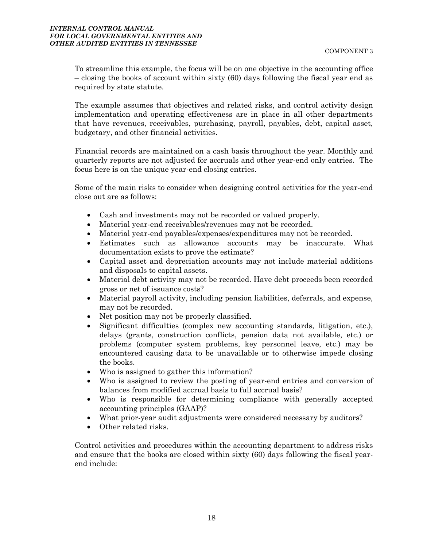To streamline this example, the focus will be on one objective in the accounting office – closing the books of account within sixty (60) days following the fiscal year end as required by state statute.

The example assumes that objectives and related risks, and control activity design implementation and operating effectiveness are in place in all other departments that have revenues, receivables, purchasing, payroll, payables, debt, capital asset, budgetary, and other financial activities.

Financial records are maintained on a cash basis throughout the year. Monthly and quarterly reports are not adjusted for accruals and other year-end only entries. The focus here is on the unique year-end closing entries.

Some of the main risks to consider when designing control activities for the year-end close out are as follows:

- Cash and investments may not be recorded or valued properly.
- Material year-end receivables/revenues may not be recorded.
- Material year-end payables/expenses/expenditures may not be recorded.
- Estimates such as allowance accounts may be inaccurate. What documentation exists to prove the estimate?
- Capital asset and depreciation accounts may not include material additions and disposals to capital assets.
- Material debt activity may not be recorded. Have debt proceeds been recorded gross or net of issuance costs?
- Material payroll activity, including pension liabilities, deferrals, and expense, may not be recorded.
- Net position may not be properly classified.
- Significant difficulties (complex new accounting standards, litigation, etc.), delays (grants, construction conflicts, pension data not available, etc.) or problems (computer system problems, key personnel leave, etc.) may be encountered causing data to be unavailable or to otherwise impede closing the books.
- Who is assigned to gather this information?
- Who is assigned to review the posting of year-end entries and conversion of balances from modified accrual basis to full accrual basis?
- Who is responsible for determining compliance with generally accepted accounting principles (GAAP)?
- What prior-year audit adjustments were considered necessary by auditors?
- Other related risks.

Control activities and procedures within the accounting department to address risks and ensure that the books are closed within sixty (60) days following the fiscal yearend include: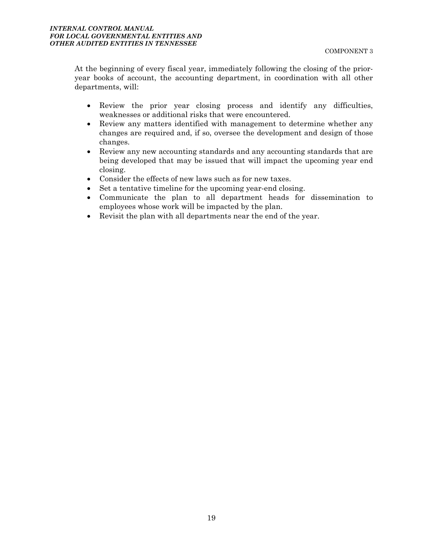At the beginning of every fiscal year, immediately following the closing of the prioryear books of account, the accounting department, in coordination with all other departments, will:

- Review the prior year closing process and identify any difficulties, weaknesses or additional risks that were encountered.
- Review any matters identified with management to determine whether any changes are required and, if so, oversee the development and design of those changes.
- Review any new accounting standards and any accounting standards that are being developed that may be issued that will impact the upcoming year end closing.
- Consider the effects of new laws such as for new taxes.
- Set a tentative timeline for the upcoming year-end closing.
- Communicate the plan to all department heads for dissemination to employees whose work will be impacted by the plan.
- Revisit the plan with all departments near the end of the year.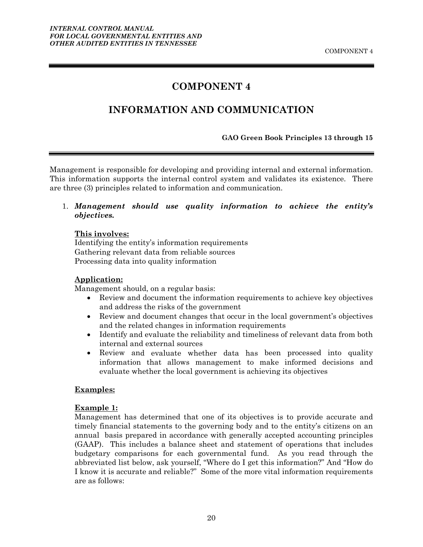# **COMPONENT 4**

# <span id="page-23-0"></span>**INFORMATION AND COMMUNICATION**

#### **GAO Green Book Principles 13 through 15**

Management is responsible for developing and providing internal and external information. This information supports the internal control system and validates its existence. There are three (3) principles related to information and communication.

1. *Management should use quality information to achieve the entity's objectives.*

#### **This involves:**

Identifying the entity's information requirements Gathering relevant data from reliable sources Processing data into quality information

#### **Application:**

Management should, on a regular basis:

- Review and document the information requirements to achieve key objectives and address the risks of the government
- Review and document changes that occur in the local government's objectives and the related changes in information requirements
- Identify and evaluate the reliability and timeliness of relevant data from both internal and external sources
- Review and evaluate whether data has been processed into quality information that allows management to make informed decisions and evaluate whether the local government is achieving its objectives

#### **Examples:**

#### **Example 1:**

Management has determined that one of its objectives is to provide accurate and timely financial statements to the governing body and to the entity's citizens on an annual basis prepared in accordance with generally accepted accounting principles (GAAP). This includes a balance sheet and statement of operations that includes budgetary comparisons for each governmental fund. As you read through the abbreviated list below, ask yourself, "Where do I get this information?" And "How do I know it is accurate and reliable?" Some of the more vital information requirements are as follows: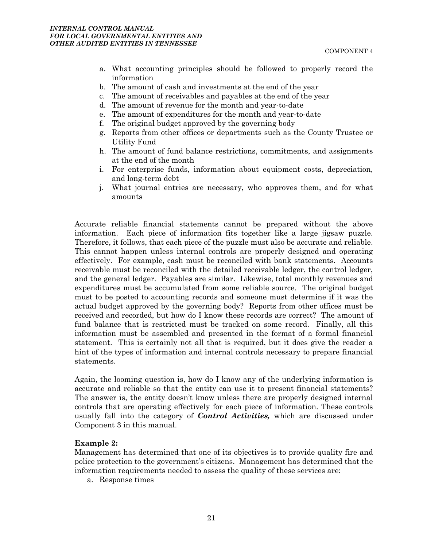- a. What accounting principles should be followed to properly record the information
- b. The amount of cash and investments at the end of the year
- c. The amount of receivables and payables at the end of the year
- d. The amount of revenue for the month and year-to-date
- e. The amount of expenditures for the month and year-to-date
- f. The original budget approved by the governing body
- g. Reports from other offices or departments such as the County Trustee or Utility Fund
- h. The amount of fund balance restrictions, commitments, and assignments at the end of the month
- i. For enterprise funds, information about equipment costs, depreciation, and long-term debt
- j. What journal entries are necessary, who approves them, and for what amounts

Accurate reliable financial statements cannot be prepared without the above information. Each piece of information fits together like a large jigsaw puzzle. Therefore, it follows, that each piece of the puzzle must also be accurate and reliable. This cannot happen unless internal controls are properly designed and operating effectively. For example, cash must be reconciled with bank statements. Accounts receivable must be reconciled with the detailed receivable ledger, the control ledger, and the general ledger. Payables are similar. Likewise, total monthly revenues and expenditures must be accumulated from some reliable source. The original budget must to be posted to accounting records and someone must determine if it was the actual budget approved by the governing body? Reports from other offices must be received and recorded, but how do I know these records are correct? The amount of fund balance that is restricted must be tracked on some record. Finally, all this information must be assembled and presented in the format of a formal financial statement. This is certainly not all that is required, but it does give the reader a hint of the types of information and internal controls necessary to prepare financial statements.

Again, the looming question is, how do I know any of the underlying information is accurate and reliable so that the entity can use it to present financial statements? The answer is, the entity doesn't know unless there are properly designed internal controls that are operating effectively for each piece of information. These controls usually fall into the category of *Control Activities,* which are discussed under Component 3 in this manual.

#### **Example 2:**

Management has determined that one of its objectives is to provide quality fire and police protection to the government's citizens. Management has determined that the information requirements needed to assess the quality of these services are:

a. Response times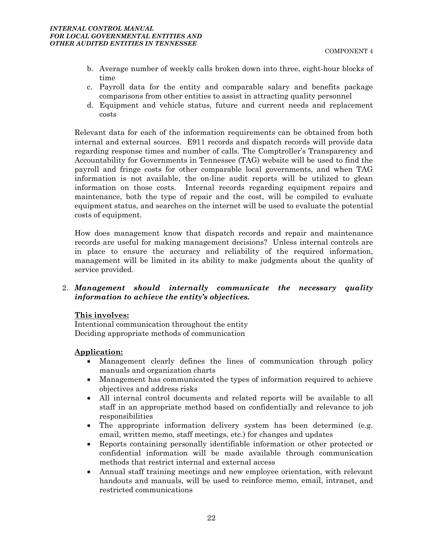- b. Average number of weekly calls broken down into three, eight-hour blocks of time
- c. Payroll data for the entity and comparable salary and benefits package comparisons from other entities to assist in attracting quality personnel
- d. Equipment and vehicle status, future and current needs and replacement costs

Relevant data for each of the information requirements can be obtained from both internal and external sources. E911 records and dispatch records will provide data regarding response times and number of calls. The Comptroller's Transparency and Accountability for Governments in Tennessee (TAG) website will be used to find the payroll and fringe costs for other comparable local governments, and when TAG information is not available, the on-line audit reports will be utilized to glean information on those costs. Internal records regarding equipment repairs and maintenance, both the type of repair and the cost, will be compiled to evaluate equipment status, and searches on the internet will be used to evaluate the potential costs of equipment.

How does management know that dispatch records and repair and maintenance records are useful for making management decisions? Unless internal controls are in place to ensure the accuracy and reliability of the required information, management will be limited in its ability to make judgments about the quality of service provided.

2. *Management should internally communicate the necessary quality information to achieve the entity's objectives.*

#### **This involves:**

Intentional communication throughout the entity Deciding appropriate methods of communication

#### **Application:**

- Management clearly defines the lines of communication through policy manuals and organization charts
- Management has communicated the types of information required to achieve objectives and address risks
- All internal control documents and related reports will be available to all staff in an appropriate method based on confidentially and relevance to job responsibilities
- The appropriate information delivery system has been determined (e.g. email, written memo, staff meetings, etc.) for changes and updates
- Reports containing personally identifiable information or other protected or confidential information will be made available through communication methods that restrict internal and external access
- Annual staff training meetings and new employee orientation, with relevant handouts and manuals, will be used to reinforce memo, email, intranet, and restricted communications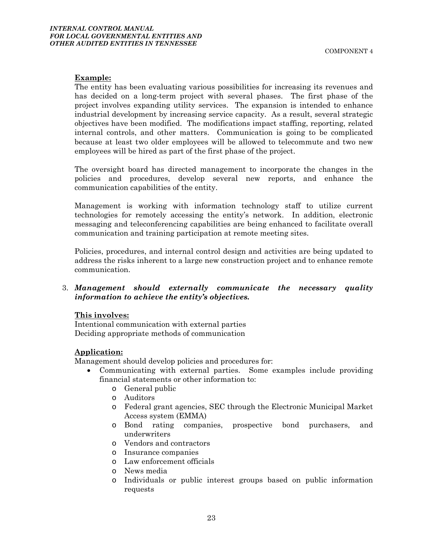#### **Example:**

The entity has been evaluating various possibilities for increasing its revenues and has decided on a long-term project with several phases. The first phase of the project involves expanding utility services. The expansion is intended to enhance industrial development by increasing service capacity. As a result, several strategic objectives have been modified. The modifications impact staffing, reporting, related internal controls, and other matters. Communication is going to be complicated because at least two older employees will be allowed to telecommute and two new employees will be hired as part of the first phase of the project.

The oversight board has directed management to incorporate the changes in the policies and procedures, develop several new reports, and enhance the communication capabilities of the entity.

Management is working with information technology staff to utilize current technologies for remotely accessing the entity's network. In addition, electronic messaging and teleconferencing capabilities are being enhanced to facilitate overall communication and training participation at remote meeting sites.

Policies, procedures, and internal control design and activities are being updated to address the risks inherent to a large new construction project and to enhance remote communication.

3. *Management should externally communicate the necessary quality information to achieve the entity's objectives.*

#### **This involves:**

Intentional communication with external parties Deciding appropriate methods of communication

#### **Application:**

Management should develop policies and procedures for:

- Communicating with external parties. Some examples include providing financial statements or other information to:
	- o General public
	- o Auditors
	- o Federal grant agencies, SEC through the Electronic Municipal Market Access system (EMMA)
	- o Bond rating companies, prospective bond purchasers, and underwriters
	- o Vendors and contractors
	- o Insurance companies
	- o Law enforcement officials
	- o News media
	- o Individuals or public interest groups based on public information requests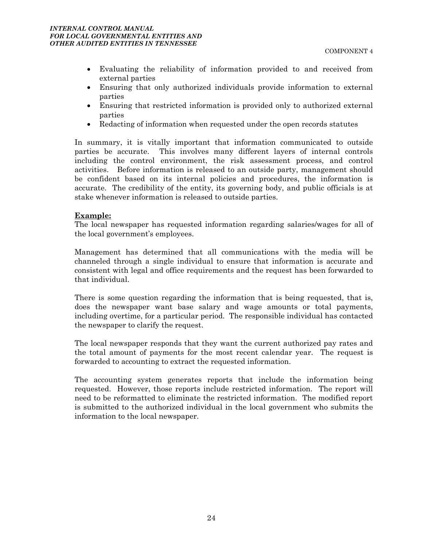- Evaluating the reliability of information provided to and received from external parties
- Ensuring that only authorized individuals provide information to external parties
- Ensuring that restricted information is provided only to authorized external parties
- Redacting of information when requested under the open records statutes

In summary, it is vitally important that information communicated to outside parties be accurate. This involves many different layers of internal controls including the control environment, the risk assessment process, and control activities. Before information is released to an outside party, management should be confident based on its internal policies and procedures, the information is accurate. The credibility of the entity, its governing body, and public officials is at stake whenever information is released to outside parties.

#### **Example:**

The local newspaper has requested information regarding salaries/wages for all of the local government's employees.

Management has determined that all communications with the media will be channeled through a single individual to ensure that information is accurate and consistent with legal and office requirements and the request has been forwarded to that individual.

There is some question regarding the information that is being requested, that is, does the newspaper want base salary and wage amounts or total payments, including overtime, for a particular period. The responsible individual has contacted the newspaper to clarify the request.

The local newspaper responds that they want the current authorized pay rates and the total amount of payments for the most recent calendar year. The request is forwarded to accounting to extract the requested information.

The accounting system generates reports that include the information being requested. However, those reports include restricted information. The report will need to be reformatted to eliminate the restricted information. The modified report is submitted to the authorized individual in the local government who submits the information to the local newspaper.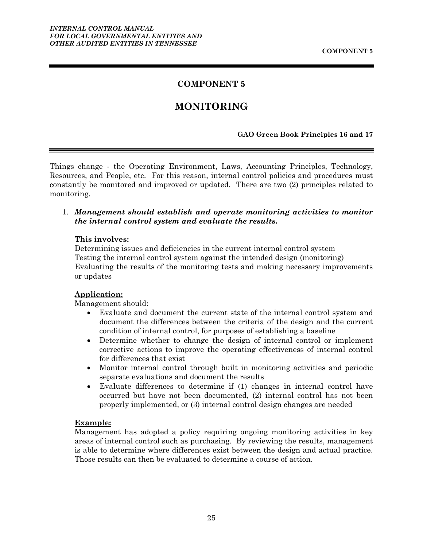### **COMPONENT 5**

### **MONITORING**

#### **GAO Green Book Principles 16 and 17**

<span id="page-28-0"></span>Things change - the Operating Environment, Laws, Accounting Principles, Technology, Resources, and People, etc. For this reason, internal control policies and procedures must constantly be monitored and improved or updated. There are two (2) principles related to monitoring.

#### 1. *Management should establish and operate monitoring activities to monitor the internal control system and evaluate the results.*

#### **This involves:**

Determining issues and deficiencies in the current internal control system Testing the internal control system against the intended design (monitoring) Evaluating the results of the monitoring tests and making necessary improvements or updates

#### **Application:**

Management should:

- Evaluate and document the current state of the internal control system and document the differences between the criteria of the design and the current condition of internal control, for purposes of establishing a baseline
- Determine whether to change the design of internal control or implement corrective actions to improve the operating effectiveness of internal control for differences that exist
- Monitor internal control through built in monitoring activities and periodic separate evaluations and document the results
- Evaluate differences to determine if (1) changes in internal control have occurred but have not been documented, (2) internal control has not been properly implemented, or (3) internal control design changes are needed

#### **Example:**

Management has adopted a policy requiring ongoing monitoring activities in key areas of internal control such as purchasing. By reviewing the results, management is able to determine where differences exist between the design and actual practice. Those results can then be evaluated to determine a course of action.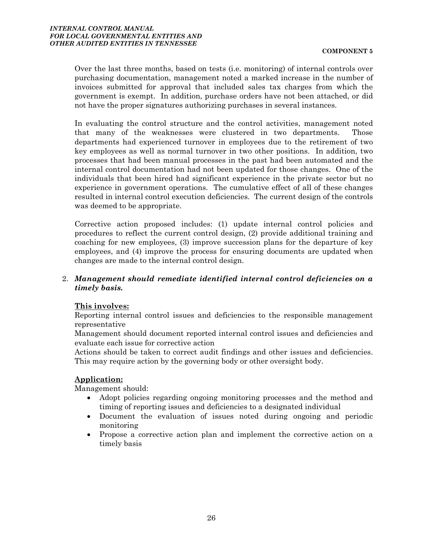Over the last three months, based on tests (i.e. monitoring) of internal controls over purchasing documentation, management noted a marked increase in the number of invoices submitted for approval that included sales tax charges from which the government is exempt. In addition, purchase orders have not been attached, or did not have the proper signatures authorizing purchases in several instances.

In evaluating the control structure and the control activities, management noted that many of the weaknesses were clustered in two departments. Those departments had experienced turnover in employees due to the retirement of two key employees as well as normal turnover in two other positions. In addition, two processes that had been manual processes in the past had been automated and the internal control documentation had not been updated for those changes. One of the individuals that been hired had significant experience in the private sector but no experience in government operations. The cumulative effect of all of these changes resulted in internal control execution deficiencies. The current design of the controls was deemed to be appropriate.

Corrective action proposed includes: (1) update internal control policies and procedures to reflect the current control design, (2) provide additional training and coaching for new employees, (3) improve succession plans for the departure of key employees, and (4) improve the process for ensuring documents are updated when changes are made to the internal control design.

#### 2. *Management should remediate identified internal control deficiencies on a timely basis.*

#### **This involves:**

Reporting internal control issues and deficiencies to the responsible management representative

Management should document reported internal control issues and deficiencies and evaluate each issue for corrective action

Actions should be taken to correct audit findings and other issues and deficiencies. This may require action by the governing body or other oversight body.

#### **Application:**

Management should:

- Adopt policies regarding ongoing monitoring processes and the method and timing of reporting issues and deficiencies to a designated individual
- Document the evaluation of issues noted during ongoing and periodic monitoring
- Propose a corrective action plan and implement the corrective action on a timely basis